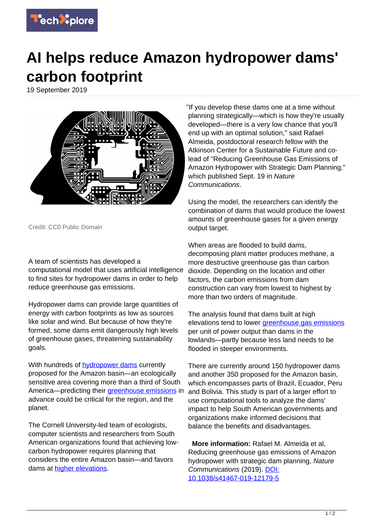

## **AI helps reduce Amazon hydropower dams' carbon footprint**

19 September 2019



Credit: CC0 Public Domain

## A team of scientists has developed a

computational model that uses artificial intelligence to find sites for hydropower dams in order to help reduce greenhouse gas emissions.

Hydropower dams can provide large quantities of energy with carbon footprints as low as sources like solar and wind. But because of how they're formed, some dams emit dangerously high levels of greenhouse gases, threatening sustainability goals.

With hundreds of **hydropower dams** currently proposed for the Amazon basin—an ecologically sensitive area covering more than a third of South America—predicting their [greenhouse emissions](https://techxplore.com/tags/greenhouse+emissions/) in advance could be critical for the region, and the planet.

The Cornell University-led team of ecologists, computer scientists and researchers from South American organizations found that achieving lowcarbon hydropower requires planning that considers the entire Amazon basin—and favors dams at [higher elevations.](https://techxplore.com/tags/higher+elevations/)

"If you develop these dams one at a time without planning strategically—which is how they're usually developed—there is a very low chance that you'll end up with an optimal solution," said Rafael Almeida, postdoctoral research fellow with the Atkinson Center for a Sustainable Future and colead of "Reducing Greenhouse Gas Emissions of Amazon Hydropower with Strategic Dam Planning," which published Sept. 19 in Nature Communications.

Using the model, the researchers can identify the combination of dams that would produce the lowest amounts of greenhouse gases for a given energy output target.

When areas are flooded to build dams. decomposing plant matter produces methane, a more destructive greenhouse gas than carbon dioxide. Depending on the location and other factors, the carbon emissions from dam construction can vary from lowest to highest by more than two orders of magnitude.

The analysis found that dams built at high elevations tend to lower [greenhouse gas emissions](https://techxplore.com/tags/greenhouse+gas+emissions/) per unit of power output than dams in the lowlands—partly because less land needs to be flooded in steeper environments.

There are currently around 150 hydropower dams and another 350 proposed for the Amazon basin, which encompasses parts of Brazil, Ecuador, Peru and Bolivia. This study is part of a larger effort to use computational tools to analyze the dams' impact to help South American governments and organizations make informed decisions that balance the benefits and disadvantages.

 **More information:** Rafael M. Almeida et al, Reducing greenhouse gas emissions of Amazon hydropower with strategic dam planning, Nature Communications (2019). [DOI:](http://dx.doi.org/10.1038/s41467-019-12179-5) [10.1038/s41467-019-12179-5](http://dx.doi.org/10.1038/s41467-019-12179-5)